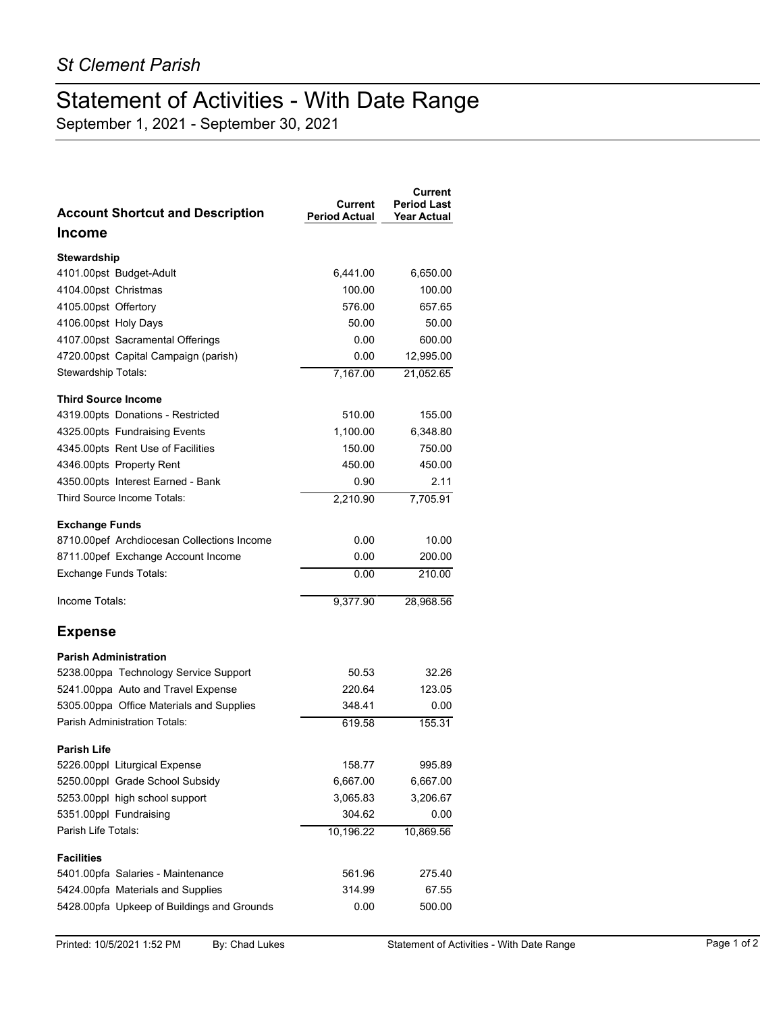## Statement of Activities - With Date Range

September 1, 2021 - September 30, 2021

| <b>Account Shortcut and Description</b>    | Current<br><b>Period Actual</b> | Current<br><b>Period Last</b><br><b>Year Actual</b> |
|--------------------------------------------|---------------------------------|-----------------------------------------------------|
| <b>Income</b>                              |                                 |                                                     |
| Stewardship                                |                                 |                                                     |
| 4101.00pst Budget-Adult                    | 6,441.00                        | 6,650.00                                            |
| 4104.00pst Christmas                       | 100.00                          | 100.00                                              |
| 4105.00pst Offertory                       | 576.00                          | 657.65                                              |
| 4106.00pst Holy Days                       | 50.00                           | 50.00                                               |
| 4107.00pst Sacramental Offerings           | 0.00                            | 600.00                                              |
| 4720.00pst Capital Campaign (parish)       | 0.00                            | 12,995.00                                           |
| Stewardship Totals:                        | 7.167.00                        | 21,052.65                                           |
| <b>Third Source Income</b>                 |                                 |                                                     |
| 4319.00pts Donations - Restricted          | 510.00                          | 155.00                                              |
| 4325.00pts Fundraising Events              | 1,100.00                        | 6,348.80                                            |
| 4345.00pts Rent Use of Facilities          | 150.00                          | 750.00                                              |
| 4346.00pts Property Rent                   | 450.00                          | 450.00                                              |
| 4350.00pts Interest Earned - Bank          | 0.90                            | 2.11                                                |
| Third Source Income Totals:                | 2,210.90                        | 7,705.91                                            |
| <b>Exchange Funds</b>                      |                                 |                                                     |
| 8710.00pef Archdiocesan Collections Income | 0.00                            | 10.00                                               |
| 8711.00pef Exchange Account Income         | 0.00                            | 200.00                                              |
| <b>Exchange Funds Totals:</b>              | 0.00                            | 210.00                                              |
| Income Totals:                             | 9,377.90                        | 28,968.56                                           |
| <b>Expense</b>                             |                                 |                                                     |
| <b>Parish Administration</b>               |                                 |                                                     |
| 5238.00ppa Technology Service Support      | 50.53                           | 32.26                                               |
| 5241.00ppa Auto and Travel Expense         | 220.64                          | 123.05                                              |
| 5305.00ppa Office Materials and Supplies   | 348.41                          | 0.00                                                |
| Parish Administration Totals:              | 619.58                          | 155.31                                              |
| <b>Parish Life</b>                         |                                 |                                                     |
| 5226.00ppl Liturgical Expense              | 158.77                          | 995.89                                              |
| 5250.00ppl Grade School Subsidy            | 6,667.00                        | 6,667.00                                            |
| 5253.00ppl high school support             | 3,065.83                        | 3,206.67                                            |
| 5351.00ppl Fundraising                     | 304.62                          | 0.00                                                |
| Parish Life Totals:                        | 10,196.22                       | 10,869.56                                           |
| <b>Facilities</b>                          |                                 |                                                     |
| 5401.00pfa Salaries - Maintenance          | 561.96                          | 275.40                                              |
| 5424.00pfa Materials and Supplies          | 314.99                          | 67.55                                               |
| 5428.00pfa Upkeep of Buildings and Grounds | 0.00                            | 500.00                                              |